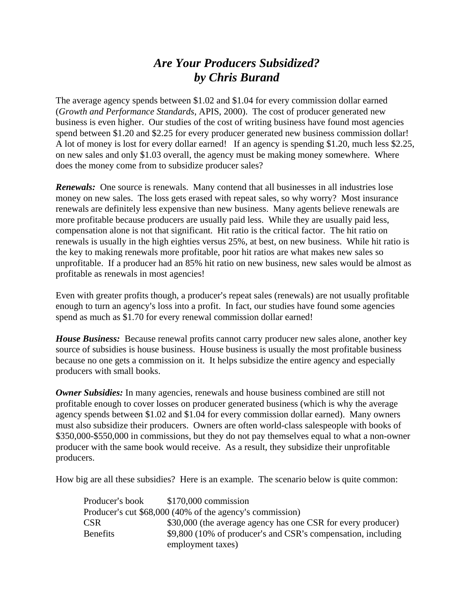## *Are Your Producers Subsidized? by Chris Burand*

The average agency spends between \$1.02 and \$1.04 for every commission dollar earned (*Growth and Performance Standards*, APIS, 2000). The cost of producer generated new business is even higher. Our studies of the cost of writing business have found most agencies spend between \$1.20 and \$2.25 for every producer generated new business commission dollar! A lot of money is lost for every dollar earned! If an agency is spending \$1.20, much less \$2.25, on new sales and only \$1.03 overall, the agency must be making money somewhere. Where does the money come from to subsidize producer sales?

**Renewals:** One source is renewals. Many contend that all businesses in all industries lose money on new sales. The loss gets erased with repeat sales, so why worry? Most insurance renewals are definitely less expensive than new business. Many agents believe renewals are more profitable because producers are usually paid less. While they are usually paid less, compensation alone is not that significant. Hit ratio is the critical factor. The hit ratio on renewals is usually in the high eighties versus 25%, at best, on new business. While hit ratio is the key to making renewals more profitable, poor hit ratios are what makes new sales so unprofitable. If a producer had an 85% hit ratio on new business, new sales would be almost as profitable as renewals in most agencies!

Even with greater profits though, a producer's repeat sales (renewals) are not usually profitable enough to turn an agency's loss into a profit. In fact, our studies have found some agencies spend as much as \$1.70 for every renewal commission dollar earned!

*House Business:* Because renewal profits cannot carry producer new sales alone, another key source of subsidies is house business. House business is usually the most profitable business because no one gets a commission on it. It helps subsidize the entire agency and especially producers with small books.

*Owner Subsidies:* In many agencies, renewals and house business combined are still not profitable enough to cover losses on producer generated business (which is why the average agency spends between \$1.02 and \$1.04 for every commission dollar earned). Many owners must also subsidize their producers. Owners are often world-class salespeople with books of \$350,000-\$550,000 in commissions, but they do not pay themselves equal to what a non-owner producer with the same book would receive. As a result, they subsidize their unprofitable producers.

How big are all these subsidies? Here is an example. The scenario below is quite common:

| Producer's book                                          | \$170,000 commission                                         |  |
|----------------------------------------------------------|--------------------------------------------------------------|--|
| Producer's cut \$68,000 (40% of the agency's commission) |                                                              |  |
| CSR                                                      | \$30,000 (the average agency has one CSR for every producer) |  |
| Benefits                                                 | \$9,800 (10% of producer's and CSR's compensation, including |  |
|                                                          | employment taxes)                                            |  |